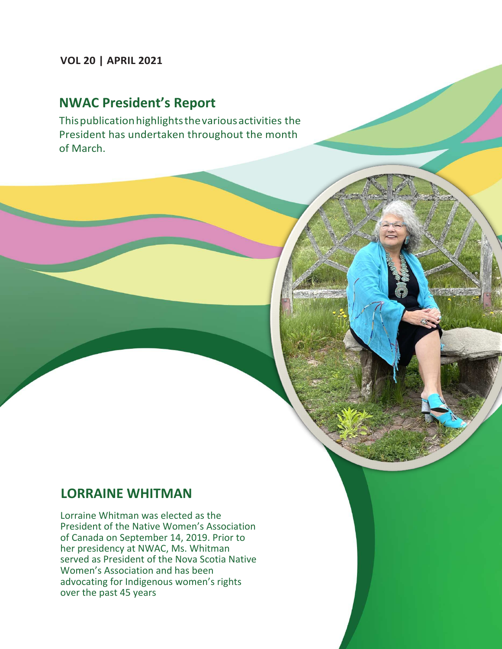### **VOL 20 | APRIL 2021**

## **NWAC President's Report**

Thispublicationhighlightsthevariousactivities the President has undertaken throughout the month of March.

### **LORRAINE WHITMAN**

Lorraine Whitman was elected as the President of the Native Women's Association of Canada on September 14, 2019. Prior to her presidency at NWAC, Ms. Whitman served as President of the Nova Scotia Native Women's Association and has been advocating for Indigenous women's rights over the past 45 years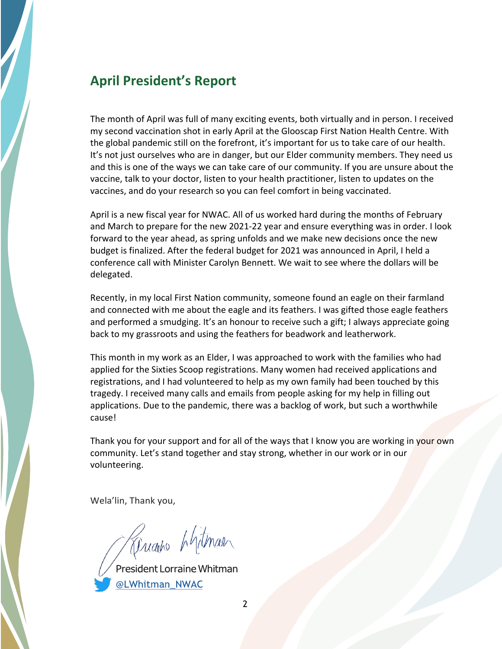## **April President's Report**

The month of April was full of many exciting events, both virtually and in person. I received my second vaccination shot in early April at the Glooscap First Nation Health Centre. With the global pandemic still on the forefront, it's important for us to take care of our health. It's not just ourselves who are in danger, but our Elder community members. They need us and this is one of the ways we can take care of our community. If you are unsure about the vaccine, talk to your doctor, listen to your health practitioner, listen to updates on the vaccines, and do your research so you can feel comfort in being vaccinated.

April is a new fiscal year for NWAC. All of us worked hard during the months of February and March to prepare for the new 2021-22 year and ensure everything was in order. I look forward to the year ahead, as spring unfolds and we make new decisions once the new budget is finalized. After the federal budget for 2021 was announced in April, I held a conference call with Minister Carolyn Bennett. We wait to see where the dollars will be delegated.

Recently, in my local First Nation community, someone found an eagle on their farmland and connected with me about the eagle and its feathers. I was gifted those eagle feathers and performed a smudging. It's an honour to receive such a gift; I always appreciate going back to my grassroots and using the feathers for beadwork and leatherwork.

This month in my work as an Elder, I was approached to work with the families who had applied for the Sixties Scoop registrations. Many women had received applications and registrations, and I had volunteered to help as my own family had been touched by this tragedy. I received many calls and emails from people asking for my help in filling out applications. Due to the pandemic, there was a backlog of work, but such a worthwhile cause!

Thank you for your support and for all of the ways that I know you are working in your own community. Let's stand together and stay strong, whether in our work or in our volunteering.

Wela'lin, Thank you,

*Aught* Antmal

@LWhitman NWAC

2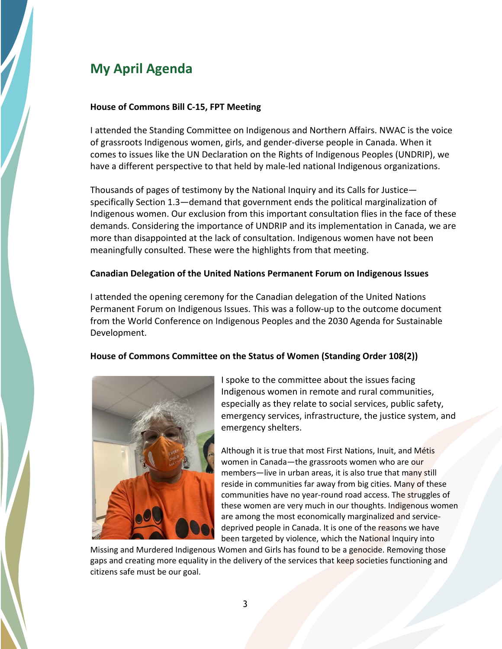## **My April Agenda**

#### **House of Commons Bill C-15, FPT Meeting**

I attended the Standing Committee on Indigenous and Northern Affairs. NWAC is the voice of grassroots Indigenous women, girls, and gender-diverse people in Canada. When it comes to issues like the UN Declaration on the Rights of Indigenous Peoples (UNDRIP), we have a different perspective to that held by male-led national Indigenous organizations.

Thousands of pages of testimony by the National Inquiry and its Calls for Justice specifically Section 1.3—demand that government ends the political marginalization of Indigenous women. Our exclusion from this important consultation flies in the face of these demands. Considering the importance of UNDRIP and its implementation in Canada, we are more than disappointed at the lack of consultation. Indigenous women have not been meaningfully consulted. These were the highlights from that meeting.

#### **Canadian Delegation of the United Nations Permanent Forum on Indigenous Issues**

I attended the opening ceremony for the Canadian delegation of the United Nations Permanent Forum on Indigenous Issues. This was a follow-up to the outcome document from the World Conference on Indigenous Peoples and the 2030 Agenda for Sustainable Development.

#### **House of Commons Committee on the Status of Women (Standing Order 108(2))**



I spoke to the committee about the issues facing Indigenous women in remote and rural communities, especially as they relate to social services, public safety, emergency services, infrastructure, the justice system, and emergency shelters.

Although it is true that most First Nations, Inuit, and Métis women in Canada—the grassroots women who are our members—live in urban areas, it is also true that many still reside in communities far away from big cities. Many of these communities have no year-round road access. The struggles of these women are very much in our thoughts. Indigenous women are among the most economically marginalized and servicedeprived people in Canada. It is one of the reasons we have been targeted by violence, which the National Inquiry into

Missing and Murdered Indigenous Women and Girls has found to be a genocide. Removing those gaps and creating more equality in the delivery of the services that keep societies functioning and citizens safe must be our goal.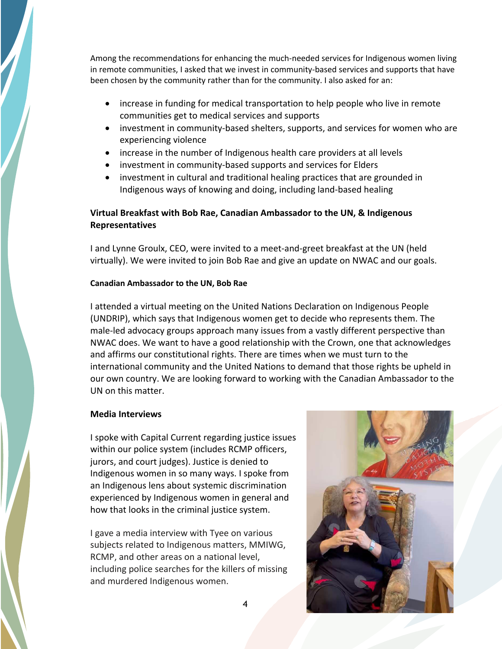Among the recommendations for enhancing the much-needed services for Indigenous women living in remote communities, I asked that we invest in community-based services and supports that have been chosen by the community rather than for the community. I also asked for an:

- increase in funding for medical transportation to help people who live in remote communities get to medical services and supports
- investment in community-based shelters, supports, and services for women who are experiencing violence
- increase in the number of Indigenous health care providers at all levels
- investment in community-based supports and services for Elders
- investment in cultural and traditional healing practices that are grounded in Indigenous ways of knowing and doing, including land-based healing

#### **Virtual Breakfast with Bob Rae, Canadian Ambassador to the UN, & Indigenous Representatives**

I and Lynne Groulx, CEO, were invited to a meet-and-greet breakfast at the UN (held virtually). We were invited to join Bob Rae and give an update on NWAC and our goals.

#### **Canadian Ambassador to the UN, Bob Rae**

I attended a virtual meeting on the United Nations Declaration on Indigenous People (UNDRIP), which says that Indigenous women get to decide who represents them. The male-led advocacy groups approach many issues from a vastly different perspective than NWAC does. We want to have a good relationship with the Crown, one that acknowledges and affirms our constitutional rights. There are times when we must turn to the international community and the United Nations to demand that those rights be upheld in our own country. We are looking forward to working with the Canadian Ambassador to the UN on this matter.

#### **Media Interviews**

I spoke with Capital Current regarding justice issues within our police system (includes RCMP officers, jurors, and court judges). Justice is denied to Indigenous women in so many ways. I spoke from an Indigenous lens about systemic discrimination experienced by Indigenous women in general and how that looks in the criminal justice system.

I gave a media interview with Tyee on various subjects related to Indigenous matters, MMIWG, RCMP, and other areas on a national level, including police searches for the killers of missing and murdered Indigenous women.

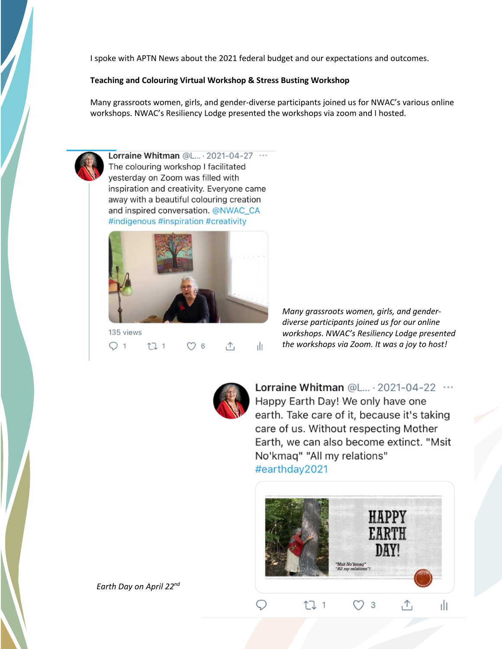I spoke with APTN News about the 2021 federal budget and our expectations and outcomes.

#### **Teaching and Colouring Virtual Workshop & Stress Busting Workshop**

Many grassroots women, girls, and gender-diverse participants joined us for NWAC's various online workshops. NWAC's Resiliency Lodge presented the workshops via zoom and I hosted.



Lorraine Whitman @L... . 2021-04-27 ... The colouring workshop I facilitated vesterday on Zoom was filled with inspiration and creativity. Everyone came away with a beautiful colouring creation and inspired conversation. @NWAC\_CA #indigenous #inspiration #creativity



 $Q_1$  $1$  $\bigcirc$  6  $\uparrow$ ılı

*Many grassroots women, girls, and genderdiverse participants joined us for our online workshops. NWAC's Resiliency Lodge presented the workshops via Zoom. It was a joy to host!* 



Lorraine Whitman @L... . 2021-04-22 ... Happy Earth Day! We only have one earth. Take care of it, because it's taking care of us. Without respecting Mother Earth, we can also become extinct. "Msit No'kmag" "All my relations" #earthday2021



 *Earth Day on April 22 nd*